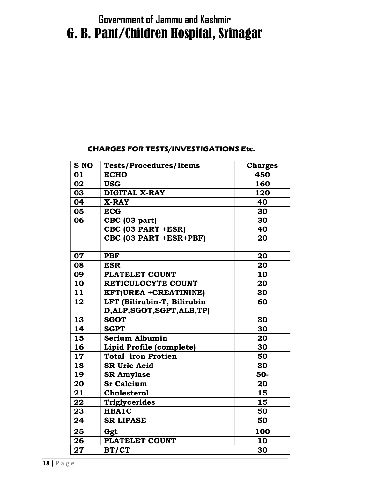# Government of Jammu and Kashmir G. B. Pant/Children Hospital, Srinagar

#### CHARGES FOR TESTS/INVESTIGATIONS Etc.

| <b>S NO</b> | <b>Tests/Procedures/Items</b> | <b>Charges</b> |
|-------------|-------------------------------|----------------|
| 01          | <b>ECHO</b>                   | 450            |
| 02          | <b>USG</b>                    | 160            |
| 03          | <b>DIGITAL X-RAY</b>          | 120            |
| 04          | <b>X-RAY</b>                  | 40             |
| 05          | <b>ECG</b>                    | 30             |
| 06          | CBC (03 part)                 | 30             |
|             | CBC (03 PART +ESR)            | 40             |
|             | CBC (03 PART +ESR+PBF)        | 20             |
| 07          | <b>PBF</b>                    | 20             |
| 08          | <b>ESR</b>                    | 20             |
| 09          | <b>PLATELET COUNT</b>         | 10             |
| 10          | RETICULOCYTE COUNT            | 20             |
| 11          | <b>KFT(UREA +CREATININE)</b>  | 30             |
| 12          | LFT (Bilirubin-T, Bilirubin   | 60             |
|             | D, ALP, SGOT, SGPT, ALB, TP)  |                |
| 13          | <b>SGOT</b>                   | 30             |
| 14          | <b>SGPT</b>                   | 30             |
| 15          | <b>Serium Albumin</b>         | 20             |
| 16          | Lipid Profile (complete)      | 30             |
| 17          | <b>Total iron Protien</b>     | 50             |
| 18          | <b>SR Uric Acid</b>           | 30             |
| 19          | <b>SR Amylase</b>             | 50-            |
| 20          | <b>Sr Calcium</b>             | 20             |
| 21          | <b>Cholesterol</b>            | 15             |
| 22          | <b>Triglycerides</b>          | 15             |
| 23          | <b>HBA1C</b>                  | 50             |
| 24          | <b>SR LIPASE</b>              | 50             |
| 25          | Ggt                           | 100            |
| 26          | <b>PLATELET COUNT</b>         | 10             |
| 27          | BT/CT                         | 30             |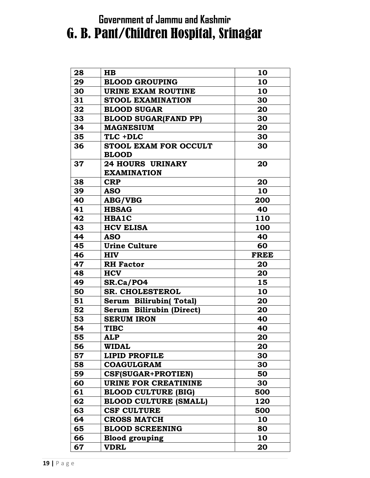### Government of Jammu and Kashmir

# G. B. Pant/Children Hospital, Srinagar

| 28 | HB                            | 10          |
|----|-------------------------------|-------------|
| 29 | <b>BLOOD GROUPING</b>         | 10          |
| 30 | <b>URINE EXAM ROUTINE</b>     | 10          |
| 31 | <b>STOOL EXAMINATION</b>      | 30          |
| 32 | <b>BLOOD SUGAR</b>            | 20          |
| 33 | <b>BLOOD SUGAR(FAND PP)</b>   | 30          |
| 34 | <b>MAGNESIUM</b>              | 20          |
| 35 | TLC +DLC                      | 30          |
| 36 | <b>STOOL EXAM FOR OCCULT</b>  | 30          |
|    | <b>BLOOD</b>                  |             |
| 37 | <b>24 HOURS URINARY</b>       | 20          |
|    | <b>EXAMINATION</b>            |             |
| 38 | <b>CRP</b>                    | 20          |
| 39 | <b>ASO</b>                    | 10          |
| 40 | <b>ABG/VBG</b>                | 200         |
| 41 | <b>HBSAG</b>                  | 40          |
| 42 | HBA1C                         | 110         |
| 43 | <b>HCV ELISA</b>              | 100         |
| 44 | <b>ASO</b>                    | 40          |
| 45 | <b>Urine Culture</b>          | 60          |
| 46 | <b>HIV</b>                    | <b>FREE</b> |
| 47 | <b>RH</b> Factor              | 20          |
| 48 | <b>HCV</b>                    | 20          |
| 49 | SR.Ca/PO4                     | 15          |
| 50 | <b>SR. CHOLESTEROL</b>        | 10          |
| 51 | <b>Serum Bilirubin(Total)</b> | 20          |
| 52 | Serum Bilirubin (Direct)      | 20          |
| 53 | <b>SERUM IRON</b>             | 40          |
| 54 | <b>TIBC</b>                   | 40          |
| 55 | ALP                           | 20          |
| 56 | <b>WIDAL</b>                  | 20          |
| 57 | <b>LIPID PROFILE</b>          | 30          |
| 58 | <b>COAGULGRAM</b>             | 30          |
| 59 | <b>CSF(SUGAR+PROTIEN)</b>     | 50          |
| 60 | URINE FOR CREATININE          | 30          |
| 61 | <b>BLOOD CULTURE (BIG)</b>    | 500         |
| 62 | <b>BLOOD CULTURE (SMALL)</b>  | 120         |
| 63 |                               |             |
|    | <b>CSF CULTURE</b>            | 500         |
| 64 | <b>CROSS MATCH</b>            | 10          |
| 65 | <b>BLOOD SCREENING</b>        | 80          |
| 66 | <b>Blood grouping</b>         | 10          |